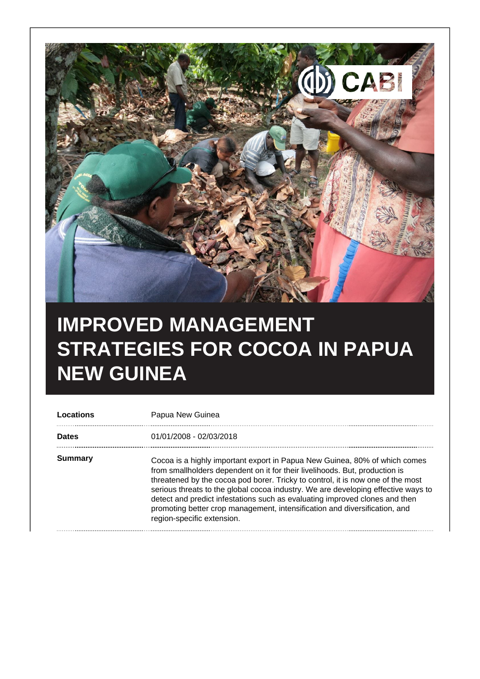

## **IMPROVED MANAGEMENT STRATEGIES FOR COCOA IN PAPUA NEW GUINEA**

| Locations    | Papua New Guinea                                                                                                                                                                                                                                                                                                                                                                                                                                                                                                             |
|--------------|------------------------------------------------------------------------------------------------------------------------------------------------------------------------------------------------------------------------------------------------------------------------------------------------------------------------------------------------------------------------------------------------------------------------------------------------------------------------------------------------------------------------------|
| <b>Dates</b> | 01/01/2008 - 02/03/2018                                                                                                                                                                                                                                                                                                                                                                                                                                                                                                      |
| Summary      | Cocoa is a highly important export in Papua New Guinea, 80% of which comes<br>from smallholders dependent on it for their livelihoods. But, production is<br>threatened by the cocoa pod borer. Tricky to control, it is now one of the most<br>serious threats to the global cocoa industry. We are developing effective ways to<br>detect and predict infestations such as evaluating improved clones and then<br>promoting better crop management, intensification and diversification, and<br>region-specific extension. |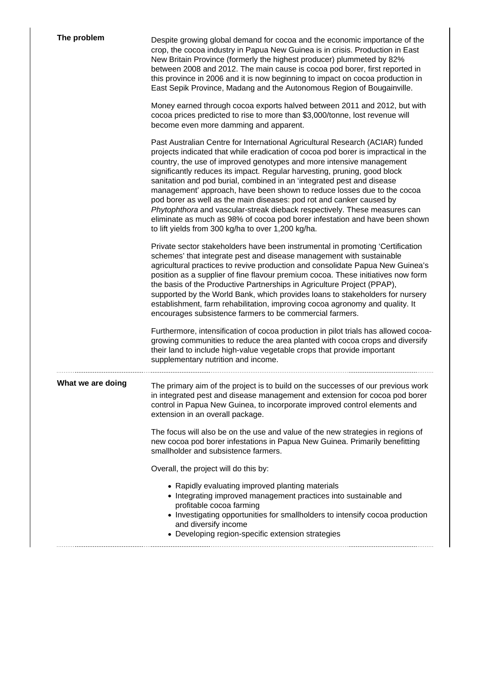| The problem       | Despite growing global demand for cocoa and the economic importance of the<br>crop, the cocoa industry in Papua New Guinea is in crisis. Production in East<br>New Britain Province (formerly the highest producer) plummeted by 82%<br>between 2008 and 2012. The main cause is cocoa pod borer, first reported in<br>this province in 2006 and it is now beginning to impact on cocoa production in<br>East Sepik Province, Madang and the Autonomous Region of Bougainville.                                                                                                                                                                                                                                                                                         |
|-------------------|-------------------------------------------------------------------------------------------------------------------------------------------------------------------------------------------------------------------------------------------------------------------------------------------------------------------------------------------------------------------------------------------------------------------------------------------------------------------------------------------------------------------------------------------------------------------------------------------------------------------------------------------------------------------------------------------------------------------------------------------------------------------------|
|                   | Money earned through cocoa exports halved between 2011 and 2012, but with<br>cocoa prices predicted to rise to more than \$3,000/tonne, lost revenue will<br>become even more damming and apparent.                                                                                                                                                                                                                                                                                                                                                                                                                                                                                                                                                                     |
|                   | Past Australian Centre for International Agricultural Research (ACIAR) funded<br>projects indicated that while eradication of cocoa pod borer is impractical in the<br>country, the use of improved genotypes and more intensive management<br>significantly reduces its impact. Regular harvesting, pruning, good block<br>sanitation and pod burial, combined in an 'integrated pest and disease<br>management' approach, have been shown to reduce losses due to the cocoa<br>pod borer as well as the main diseases: pod rot and canker caused by<br>Phytophthora and vascular-streak dieback respectively. These measures can<br>eliminate as much as 98% of cocoa pod borer infestation and have been shown<br>to lift yields from 300 kg/ha to over 1,200 kg/ha. |
|                   | Private sector stakeholders have been instrumental in promoting 'Certification<br>schemes' that integrate pest and disease management with sustainable<br>agricultural practices to revive production and consolidate Papua New Guinea's<br>position as a supplier of fine flavour premium cocoa. These initiatives now form<br>the basis of the Productive Partnerships in Agriculture Project (PPAP),<br>supported by the World Bank, which provides loans to stakeholders for nursery<br>establishment, farm rehabilitation, improving cocoa agronomy and quality. It<br>encourages subsistence farmers to be commercial farmers.                                                                                                                                    |
|                   | Furthermore, intensification of cocoa production in pilot trials has allowed cocoa-<br>growing communities to reduce the area planted with cocoa crops and diversify<br>their land to include high-value vegetable crops that provide important<br>supplementary nutrition and income.                                                                                                                                                                                                                                                                                                                                                                                                                                                                                  |
| What we are doing | The primary aim of the project is to build on the successes of our previous work<br>in integrated pest and disease management and extension for cocoa pod borer<br>control in Papua New Guinea, to incorporate improved control elements and<br>extension in an overall package.                                                                                                                                                                                                                                                                                                                                                                                                                                                                                        |
|                   | The focus will also be on the use and value of the new strategies in regions of<br>new cocoa pod borer infestations in Papua New Guinea. Primarily benefitting<br>smallholder and subsistence farmers.                                                                                                                                                                                                                                                                                                                                                                                                                                                                                                                                                                  |
|                   | Overall, the project will do this by:                                                                                                                                                                                                                                                                                                                                                                                                                                                                                                                                                                                                                                                                                                                                   |
|                   | • Rapidly evaluating improved planting materials<br>• Integrating improved management practices into sustainable and<br>profitable cocoa farming<br>• Investigating opportunities for smallholders to intensify cocoa production<br>and diversify income<br>• Developing region-specific extension strategies                                                                                                                                                                                                                                                                                                                                                                                                                                                           |